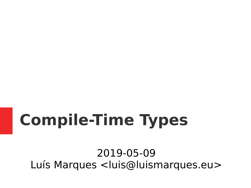# **Compile-Time Types**

2019-05-09 Luís Marques <luis@luismarques.eu>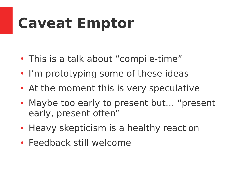#### **Caveat Emptor**

- This is a talk about "compile-time"
- I'm prototyping some of these ideas
- At the moment this is very speculative
- Maybe too early to present but... "present early, present often"
- Heavy skepticism is a healthy reaction
- Feedback still welcome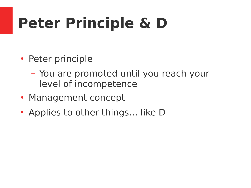- Peter principle
	- You are promoted until you reach your level of incompetence
- Management concept
- Applies to other things... like D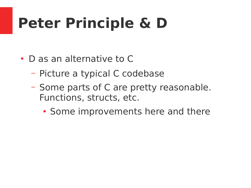- D as an alternative to C
	- Picture a typical C codebase
	- Some parts of C are pretty reasonable. Functions, structs, etc.
		- Some improvements here and there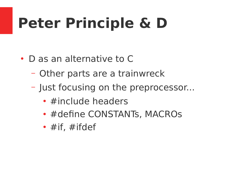- $\cdot$  D as an alternative to C
	- Other parts are a trainwreck
	- Just focusing on the preprocessor...
		- $\cdot$  #include headers
		- #define CONSTANTs, MACROs
		- $\#$ if,  $\#$ ifdef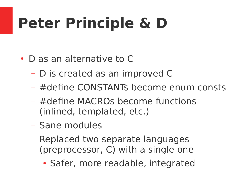- $\cdot$  D as an alternative to C
	- D is created as an improved C
	- #define CONSTANTs become enum consts
	- #define MACROs become functions (inlined, templated, etc.)
	- Sane modules
	- Replaced two separate languages (preprocessor, C) with a single one
		- Safer, more readable, integrated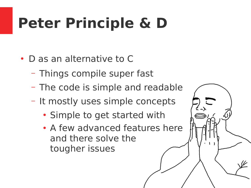- D as an alternative to C
	- Things compile super fast
	- The code is simple and readable
	- It mostly uses simple concepts
		- Simple to get started with
		- A few advanced features here and there solve the tougher issues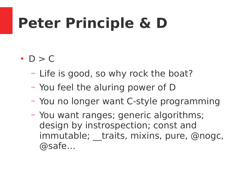#### $\cdot$  D  $>$  C

- Life is good, so why rock the boat?
- You feel the aluring power of D
- You no longer want C-style programming
- You want ranges; generic algorithms; design by instrospection; const and immutable; traits, mixins, pure, @nogc, @safe…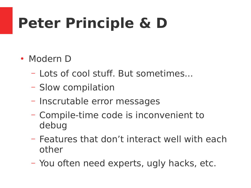- Modern D
	- Lots of cool stuff. But sometimes...
	- Slow compilation
	- Inscrutable error messages
	- Compile-time code is inconvenient to debug
	- Features that don't interact well with each other
	- You often need experts, ugly hacks, etc.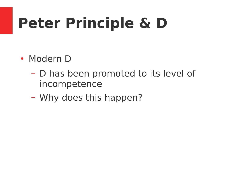- Modern D
	- D has been promoted to its level of incompetence
	- Why does this happen?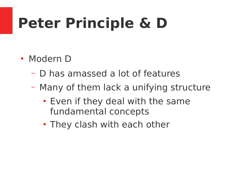- Modern D
	- D has amassed a lot of features
	- Many of them lack a unifying structure
		- Even if they deal with the same fundamental concepts
		- They clash with each other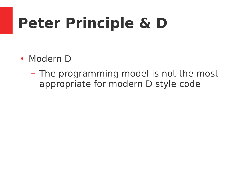- Modern D
	- The programming model is not the most appropriate for modern D style code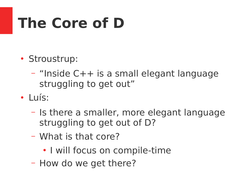# **The Core of D**

- Stroustrup:
	- "Inside C++ is a small elegant language struggling to get out"
- Luís:
	- Is there a smaller, more elegant language struggling to get out of D?
	- What is that core?
		- I will focus on compile-time
	- How do we get there?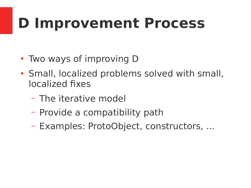# **D Improvement Process**

- Two ways of improving D
- Small, localized problems solved with small, localized fixes
	- The iterative model
	- Provide a compatibility path
	- Examples: ProtoObject, constructors, ...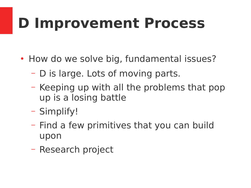# **D Improvement Process**

- How do we solve big, fundamental issues?
	- D is large. Lots of moving parts.
	- Keeping up with all the problems that pop up is a losing battle
	- Simplify!
	- Find a few primitives that you can build upon
	- Research project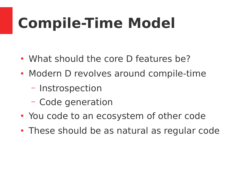- What should the core D features be?
- Modern D revolves around compile-time
	- Instrospection
	- Code generation
- You code to an ecosystem of other code
- These should be as natural as regular code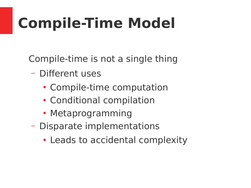Compile-time is not a single thing

- Different uses
	- Compile-time computation
	- Conditional compilation
	- Metaprogramming
- Disparate implementations
	- Leads to accidental complexity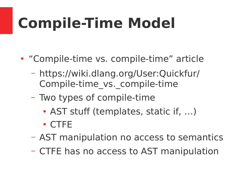- "Compile-time vs. compile-time" article
	- https://wiki.dlang.org/User:Quickfur/ Compile-time\_vs.\_compile-time
	- Two types of compile-time
		- AST stuff (templates, static if, ...)
		- CTFE
	- AST manipulation no access to semantics
	- CTFE has no access to AST manipulation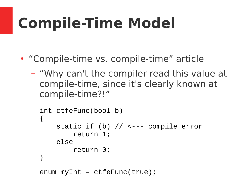- "Compile-time vs. compile-time" article
	- "Why can't the compiler read this value at compile-time, since it's clearly known at compile-time?!"

```
int ctfeFunc(bool b)
\{ static if (b) // <--- compile error
          return 1;
     else
          return 0;
}
```

```
enum myInt = ctfeFunc(true);
```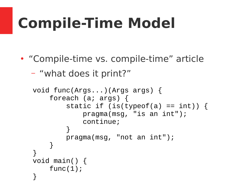• "Compile-time vs. compile-time" article

```
– "what does it print?"
```

```
void func(Args...)(Args args) {
     foreach (a; args) {
        static if (is(typeof(a) == int)) {
             pragma(msg, "is an int");
             continue;
 }
         pragma(msg, "not an int");
     }
}
void main() {
     func(1);
}
```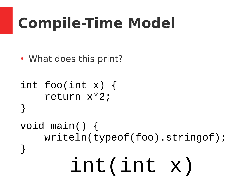• What does this print?

```
int(int x)
int foo(int x) {
    return x*2;
}
void main() {
    writeln(typeof(foo).stringof);
}
```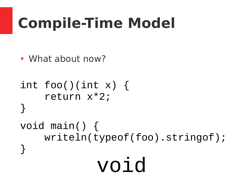• What about now?

```
int foo()(int x) {
     return x*2;
}
void main() {
     writeln(typeof(foo).stringof);
}
             void
```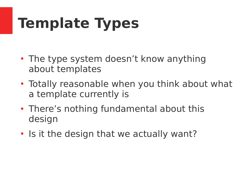- The type system doesn't know anything about templates
- Totally reasonable when you think about what a template currently is
- There's nothing fundamental about this design
- Is it the design that we actually want?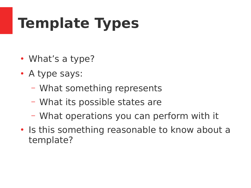- What's a type?
- A type says:
	- What something represents
	- What its possible states are
	- What operations you can perform with it
- Is this something reasonable to know about a template?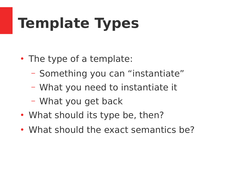- The type of a template:
	- Something you can "instantiate"
	- What you need to instantiate it
	- What you get back
- What should its type be, then?
- What should the exact semantics be?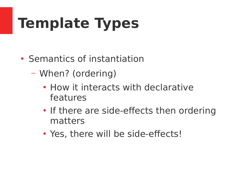- Semantics of instantiation
	- When? (ordering)
		- How it interacts with declarative features
		- If there are side-effects then ordering matters
		- Yes, there will be side-effects!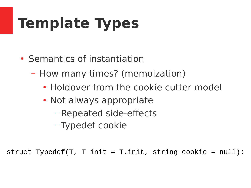- Semantics of instantiation
	- How many times? (memoization)
		- Holdover from the cookie cutter model
		- Not always appropriate
			- Repeated side-effects
			- Typedef cookie

struct Typedef(T, T init = T.init, string cookie =  $null$ );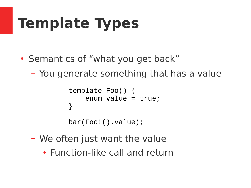- Semantics of "what you get back"
	- You generate something that has a value

```
template Foo() {
    enum value = true;
}
```

```
bar(Foo!().value);
```
- We often just want the value
	- Function-like call and return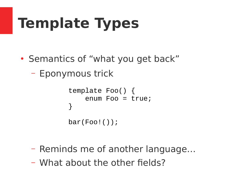- Semantics of "what you get back"
	- Eponymous trick

```
template Foo() {
     enum Foo = true;
}
bar(Foo!());
```
- Reminds me of another language…
- What about the other fields?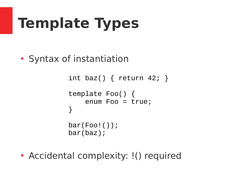• Syntax of instantiation

```
int baz() \{ return 42; \}template Foo() {
     enum Foo = true;
}
bar(Foo!());
bar(baz);
```
• Accidental complexity: !() required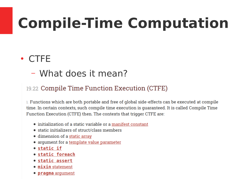# **Compile-Time Computation**

#### ● CTFE

– What does it mean?

#### 19.22 Compile Time Function Execution (CTFE)

1. Functions which are both portable and free of global side-effects can be executed at compile time. In certain contexts, such compile time execution is quaranteed. It is called Compile Time Function Execution (CTFE) then. The contexts that trigger CTFE are:

- initialization of a static variable or a manifest constant
- static initializers of struct/class members
- dimension of a static array
- argument for a template value parameter
- static if
- static foreach
- static assert
- mixin statement
- pragma argument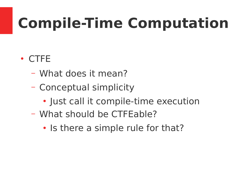# **Compile-Time Computation**

#### ● CTFE

- What does it mean?
- Conceptual simplicity
	- Just call it compile-time execution
- What should be CTFEable?
	- Is there a simple rule for that?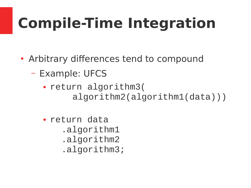- Arbitrary differences tend to compound
	- Example: UFCS
		- return algorithm3( algorithm2(algorithm1(data)))
		- return data .algorithm1 .algorithm2 .algorithm3;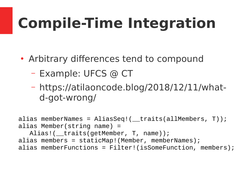- Arbitrary differences tend to compound
	- Example: UFCS @ CT
	- https://atilaoncode.blog/2018/12/11/whatd-got-wrong/

```
alias memberNames = AliasSeq!(__traits(allMembers, T));
alias Member(string name) = 
  Alias!(__traits(getMember, T, name));
alias members = staticMap!(Member, memberNames);
alias memberFunctions = Filter!(isSomeFunction, members);
```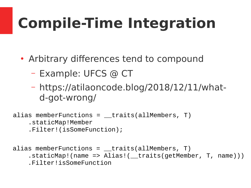- Arbitrary differences tend to compound
	- Example: UFCS @ CT
	- https://atilaoncode.blog/2018/12/11/whatd-got-wrong/

alias memberFunctions =  $r$ traits(allMembers, T) .staticMap!Member .Filter!(isSomeFunction);

alias memberFunctions =  $r$ traits(allMembers, T) .staticMap!(name => Alias!(\_\_traits(getMember, T, name))) .Filter!isSomeFunction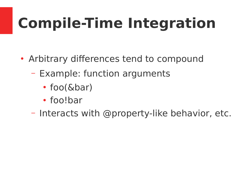- Arbitrary differences tend to compound
	- Example: function arguments
		- $\cdot$  foo( $&$ bar)
		- foo!bar
	- Interacts with @property-like behavior, etc.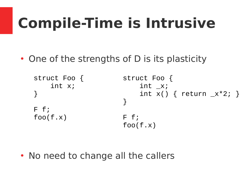• One of the strengths of D is its plasticity

```
struct Foo {
     int x;
}
F f;
foo(f.x)struct Foo {
                            int_{-X};
                            int x() { return x*2; }
                       }
                       F f;
                       foo(f.x)
```
• No need to change all the callers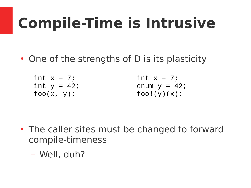- One of the strengths of D is its plasticity
	- int  $x = 7$ ; int  $y = 42$ ;  $foo(x, y)$ ;

int  $x = 7$ ; enum  $y = 42$ ;  $foo!(y)(x);$ 

- The caller sites must be changed to forward compile-timeness
	- Well, duh?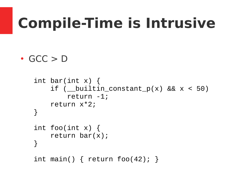```
\cdot GCC > D
```

```
int bar(int x) {
    if ( __builtin_constant_p(x) && x < 50)
         return -1;
     return x*2;
}
int foo(int x) {
     return bar(x);
}
int main() \{ return foo(42); \}
```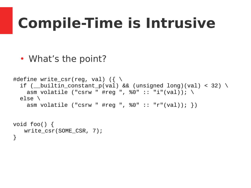```
• What's the point?
```

```
#define write_csr(reg, val) ({ \setminusif ( __builtin_constant_p(val) && (unsigned long)(val) < 32) \setminusasm volatile ("csrw " #reg ", %0" :: "i"(val)); \
   else \
     asm volatile ("csrw " #reg ", %0" :: "r"(val)); })
void foo() {
   write_csr(SOME_CSR, 7);
```

```
}
```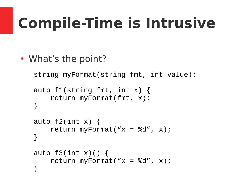• What's the point?

```
string myFormat(string fmt, int value);
```

```
auto f1(\text{string} \text{fmt}, \text{int} x) {
      return myFormat(fmt, x);
}
```

```
auto f2(int x) {
    return myFormat("x = %d", x);
}
```

```
auto f3(int x)( ) {
    return myFormat("x = %d", x);
}
```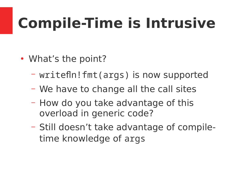- What's the point?
	- writefln!fmt(args) is now supported
	- We have to change all the call sites
	- How do you take advantage of this overload in generic code?
	- Still doesn't take advantage of compiletime knowledge of args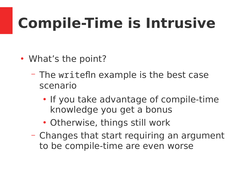- What's the point?
	- The writefln example is the best case scenario
		- If you take advantage of compile-time knowledge you get a bonus
		- Otherwise, things still work
	- Changes that start requiring an argument to be compile-time are even worse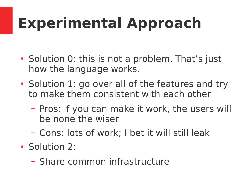- Solution 0: this is not a problem. That's just how the language works.
- Solution 1: go over all of the features and try to make them consistent with each other
	- Pros: if you can make it work, the users will be none the wiser
	- Cons: lots of work; I bet it will still leak
- Solution 2:
	- Share common infrastructure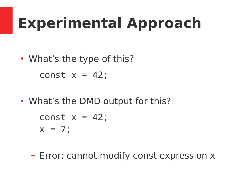• What's the type of this?

const  $x = 42$ ;

• What's the DMD output for this?

$$
const x = 42;
$$
  

$$
x = 7;
$$

– Error: cannot modify const expression x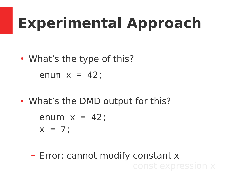• What's the type of this?

enum  $x = 42$ ;

• What's the DMD output for this?

enum  $x = 42$ ;  $x = 7$ ;

– Error: cannot modify constant x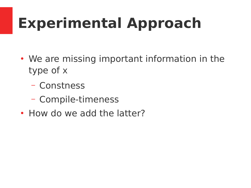- We are missing important information in the type of x
	- Constness
	- Compile-timeness
- How do we add the latter?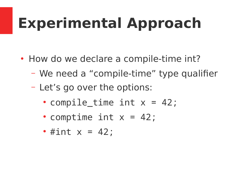- How do we declare a compile-time int?
	- We need a "compile-time" type qualifier
	- Let's go over the options:
		- compile\_time int  $x = 42$ ;
		- comptime int  $x = 42$ ;
		- #int  $x = 42$ ;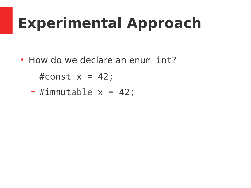• How do we declare an enum int?

$$
- \#const \times = 42;
$$

$$
-#immutable x = 42;
$$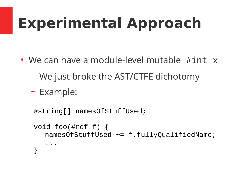- We can have a module-level mutable  $\#int x$ 
	- We just broke the AST/CTFE dichotomy
	- Example:

```
#string[] namesOfStuffUsed;
void foo(#ref f) {
  namesOfStuffUsed ~= f.fullyQualifiedName;
   ...
}
```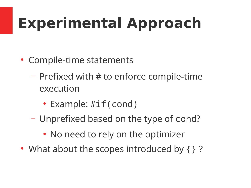- Compile-time statements
	- Prefixed with # to enforce compile-time execution
		- Example: #if(cond)
	- Unprefixed based on the type of cond?
		- No need to rely on the optimizer
- What about the scopes introduced by { } ?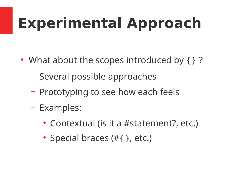- What about the scopes introduced by  $\{\}$  ?
	- Several possible approaches
	- Prototyping to see how each feels
	- Examples:
		- Contextual (is it a #statement?, etc.)
		- Special braces  $(\#\{\}$ , etc.)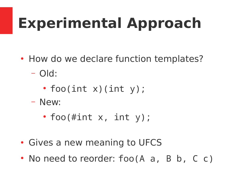- How do we declare function templates?
	- Old:
		- foo(int  $x$ )(int  $y$ );
	- New:
		- foo(#int  $x$ , int  $y$ );
- Gives a new meaning to UFCS
- No need to reorder:  $foo(A \ a, \ B \ b, \ C \ c)$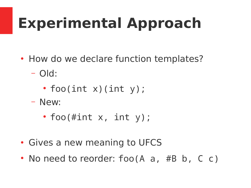- How do we declare function templates?
	- Old:
		- foo(int  $x$ )(int  $y$ );
	- New:
		- foo(#int  $x$ , int  $y$ );
- Gives a new meaning to UFCS
- No need to reorder: foo(A a, #B b, C c)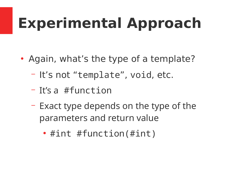- Again, what's the type of a template?
	- It's not "template", void, etc.
	- It's a #function
	- Exact type depends on the type of the parameters and return value
		- #int #function(#int)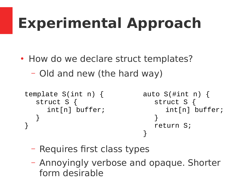- How do we declare struct templates?
	- Old and new (the hard way)

```
template S(int n) {
  struct S {
     int[n] buffer;
   }
}
                               auto S(\#int n) {
                                  struct S {
                                     int[n] buffer;
                                  }
                                  return S;
                               }
```
- Requires first class types
- Annoyingly verbose and opaque. Shorter form desirable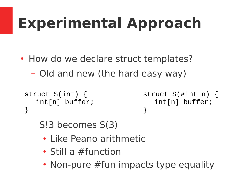- How do we declare struct templates?
	- Old and new (the hard easy way)

```
struct S(int) {
  int[n] buffer;
}
```

```
struct S(#int n) {
  int[n] buffer;
}
```
S!3 becomes S(3)

- Like Peano arithmetic
- Still a #function
- Non-pure #fun impacts type equality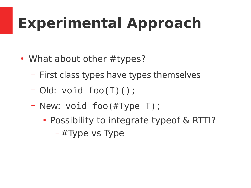- What about other #types?
	- First class types have types themselves
	- Old: void foo(T)();
	- New: void foo(#Type T);
		- Possibility to integrate typeof & RTTI? – #Type vs Type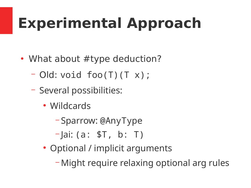- What about  $#type$  deduction?
	- Old: void foo(T)(T x);
	- Several possibilities:
		- Wildcards
			- Sparrow: @AnyType
			- $-$  ai: (a:  $$T, b: T$ )
		- Optional / implicit arguments
			- Might require relaxing optional arg rules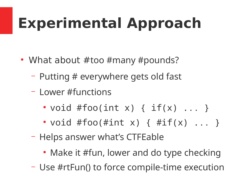- What about  $#$ too  $#$ many  $#$ pounds?
	- Putting # everywhere gets old fast
	- Lower #functions
		- void #foo(int x) {  $if(x)$  ... }
		- void #foo(#int x) {  $\#if(x)$  ... }
	- Helps answer what's CTFEable
		- Make it #fun, lower and do type checking
	- Use #rtFun() to force compile-time execution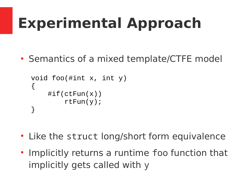• Semantics of a mixed template/CTFE model

```
void foo(#int x, int y)
\{\# \text{if}(\text{ctFun}(x)) rtFun(y);
}
```
- Like the struct long/short form equivalence
- Implicitly returns a runtime foo function that implicitly gets called with y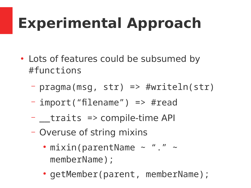- Lots of features could be subsumed by #functions
	- pragma(msg, str) => #writeln(str)
	- import("filename") => #read
	- $-$  traits  $\Rightarrow$  compile-time API
	- Overuse of string mixins
		- $\cdot$  mixin(parentName  $\sim$  "."  $\sim$ memberName);
		- getMember(parent, memberName);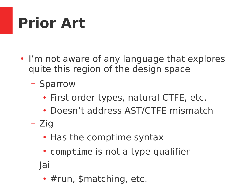# **Prior Art**

- I'm not aware of any language that explores quite this region of the design space
	- Sparrow
		- First order types, natural CTFE, etc.
		- Doesn't address AST/CTFE mismatch
	- Zig
		- Has the comptime syntax
		- comptime is not a type qualifier
	- Jai
		- $\cdot$  #run, \$matching, etc.